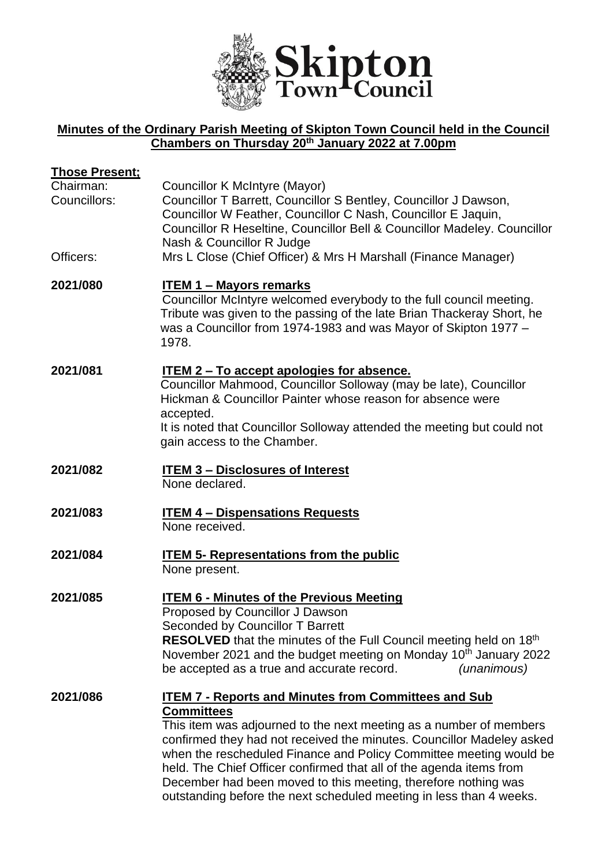

# **Minutes of the Ordinary Parish Meeting of Skipton Town Council held in the Council Chambers on Thursday 20th January 2022 at 7.00pm**

| <b>Those Present;</b><br>Chairman:<br>Councillors:<br>Officers: | Councillor K McIntyre (Mayor)<br>Councillor T Barrett, Councillor S Bentley, Councillor J Dawson,<br>Councillor W Feather, Councillor C Nash, Councillor E Jaquin,<br>Councillor R Heseltine, Councillor Bell & Councillor Madeley. Councillor<br>Nash & Councillor R Judge<br>Mrs L Close (Chief Officer) & Mrs H Marshall (Finance Manager)                                                                                                                                                                         |
|-----------------------------------------------------------------|-----------------------------------------------------------------------------------------------------------------------------------------------------------------------------------------------------------------------------------------------------------------------------------------------------------------------------------------------------------------------------------------------------------------------------------------------------------------------------------------------------------------------|
| 2021/080                                                        | <b>ITEM 1 - Mayors remarks</b><br>Councillor McIntyre welcomed everybody to the full council meeting.<br>Tribute was given to the passing of the late Brian Thackeray Short, he<br>was a Councillor from 1974-1983 and was Mayor of Skipton 1977 -<br>1978.                                                                                                                                                                                                                                                           |
| 2021/081                                                        | <u>ITEM 2 – To accept apologies for absence.</u><br>Councillor Mahmood, Councillor Solloway (may be late), Councillor<br>Hickman & Councillor Painter whose reason for absence were<br>accepted.<br>It is noted that Councillor Solloway attended the meeting but could not<br>gain access to the Chamber.                                                                                                                                                                                                            |
| 2021/082                                                        | <b>ITEM 3 - Disclosures of Interest</b><br>None declared.                                                                                                                                                                                                                                                                                                                                                                                                                                                             |
| 2021/083                                                        | <b>ITEM 4 - Dispensations Requests</b><br>None received.                                                                                                                                                                                                                                                                                                                                                                                                                                                              |
| 2021/084                                                        | <b>ITEM 5- Representations from the public</b><br>None present.                                                                                                                                                                                                                                                                                                                                                                                                                                                       |
| 2021/085                                                        | <b>ITEM 6 - Minutes of the Previous Meeting</b><br>Proposed by Councillor J Dawson<br>Seconded by Councillor T Barrett<br>RESOLVED that the minutes of the Full Council meeting held on 18th<br>November 2021 and the budget meeting on Monday 10 <sup>th</sup> January 2022<br>be accepted as a true and accurate record.<br>(unanimous)                                                                                                                                                                             |
| 2021/086                                                        | <b>ITEM 7 - Reports and Minutes from Committees and Sub</b><br><b>Committees</b><br>This item was adjourned to the next meeting as a number of members<br>confirmed they had not received the minutes. Councillor Madeley asked<br>when the rescheduled Finance and Policy Committee meeting would be<br>held. The Chief Officer confirmed that all of the agenda items from<br>December had been moved to this meeting, therefore nothing was<br>outstanding before the next scheduled meeting in less than 4 weeks. |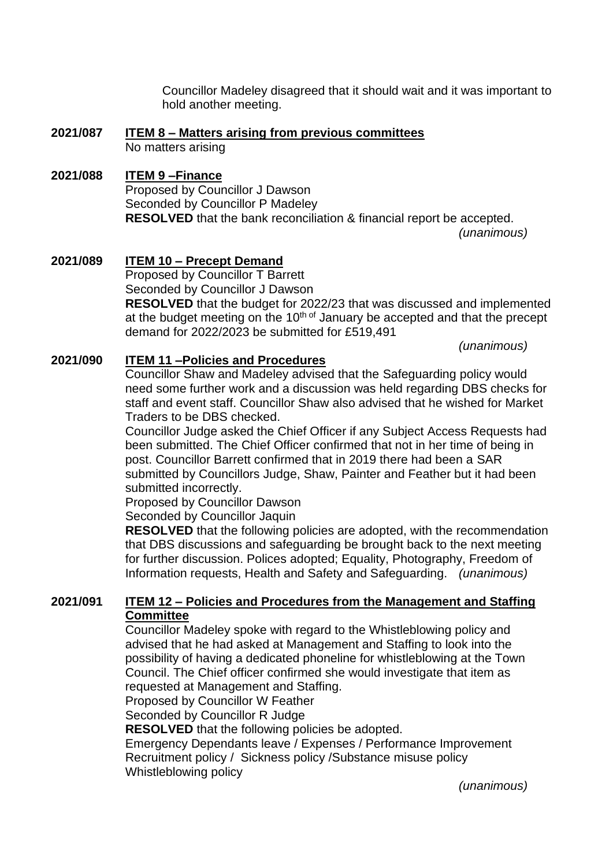Councillor Madeley disagreed that it should wait and it was important to hold another meeting.

**2021/087 ITEM 8 – Matters arising from previous committees**  No matters arising

#### **2021/088 ITEM 9 –Finance** Proposed by Councillor J Dawson Seconded by Councillor P Madeley **RESOLVED** that the bank reconciliation & financial report be accepted. *(unanimous)*

**2021/089 ITEM 10 – Precept Demand**  Proposed by Councillor T Barrett Seconded by Councillor J Dawson **RESOLVED** that the budget for 2022/23 that was discussed and implemented at the budget meeting on the  $10<sup>th of</sup>$  January be accepted and that the precept demand for 2022/2023 be submitted for £519,491

*(unanimous)*

# **2021/090 ITEM 11 –Policies and Procedures**

Councillor Shaw and Madeley advised that the Safeguarding policy would need some further work and a discussion was held regarding DBS checks for staff and event staff. Councillor Shaw also advised that he wished for Market Traders to be DBS checked.

Councillor Judge asked the Chief Officer if any Subject Access Requests had been submitted. The Chief Officer confirmed that not in her time of being in post. Councillor Barrett confirmed that in 2019 there had been a SAR submitted by Councillors Judge, Shaw, Painter and Feather but it had been submitted incorrectly.

Proposed by Councillor Dawson

Seconded by Councillor Jaquin

**RESOLVED** that the following policies are adopted, with the recommendation that DBS discussions and safeguarding be brought back to the next meeting for further discussion. Polices adopted; Equality, Photography, Freedom of Information requests, Health and Safety and Safeguarding. *(unanimous)*

### **2021/091 ITEM 12 – Policies and Procedures from the Management and Staffing Committee**

Councillor Madeley spoke with regard to the Whistleblowing policy and advised that he had asked at Management and Staffing to look into the possibility of having a dedicated phoneline for whistleblowing at the Town Council. The Chief officer confirmed she would investigate that item as requested at Management and Staffing.

Proposed by Councillor W Feather

Seconded by Councillor R Judge

**RESOLVED** that the following policies be adopted.

Emergency Dependants leave / Expenses / Performance Improvement Recruitment policy / Sickness policy /Substance misuse policy Whistleblowing policy

*(unanimous)*